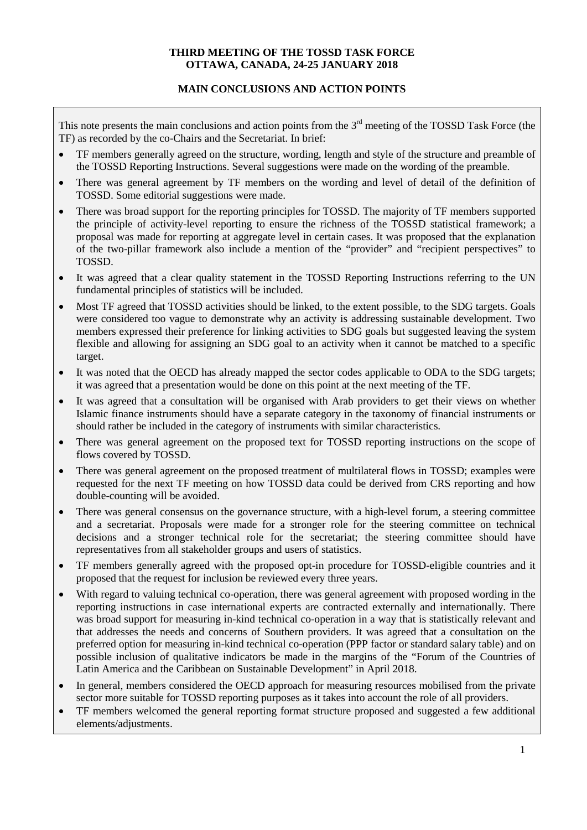## **THIRD MEETING OF THE TOSSD TASK FORCE OTTAWA, CANADA, 24-25 JANUARY 2018**

### **MAIN CONCLUSIONS AND ACTION POINTS**

This note presents the main conclusions and action points from the  $3<sup>rd</sup>$  meeting of the TOSSD Task Force (the TF) as recorded by the co-Chairs and the Secretariat. In brief:

- TF members generally agreed on the structure, wording, length and style of the structure and preamble of the TOSSD Reporting Instructions. Several suggestions were made on the wording of the preamble.
- There was general agreement by TF members on the wording and level of detail of the definition of TOSSD. Some editorial suggestions were made.
- There was broad support for the reporting principles for TOSSD. The majority of TF members supported the principle of activity-level reporting to ensure the richness of the TOSSD statistical framework; a proposal was made for reporting at aggregate level in certain cases. It was proposed that the explanation of the two-pillar framework also include a mention of the "provider" and "recipient perspectives" to TOSSD.
- It was agreed that a clear quality statement in the TOSSD Reporting Instructions referring to the UN fundamental principles of statistics will be included.
- Most TF agreed that TOSSD activities should be linked, to the extent possible, to the SDG targets. Goals were considered too vague to demonstrate why an activity is addressing sustainable development. Two members expressed their preference for linking activities to SDG goals but suggested leaving the system flexible and allowing for assigning an SDG goal to an activity when it cannot be matched to a specific target.
- It was noted that the OECD has already mapped the sector codes applicable to ODA to the SDG targets; it was agreed that a presentation would be done on this point at the next meeting of the TF.
- It was agreed that a consultation will be organised with Arab providers to get their views on whether Islamic finance instruments should have a separate category in the taxonomy of financial instruments or should rather be included in the category of instruments with similar characteristics.
- There was general agreement on the proposed text for TOSSD reporting instructions on the scope of flows covered by TOSSD.
- There was general agreement on the proposed treatment of multilateral flows in TOSSD; examples were requested for the next TF meeting on how TOSSD data could be derived from CRS reporting and how double-counting will be avoided.
- There was general consensus on the governance structure, with a high-level forum, a steering committee and a secretariat. Proposals were made for a stronger role for the steering committee on technical decisions and a stronger technical role for the secretariat; the steering committee should have representatives from all stakeholder groups and users of statistics.
- TF members generally agreed with the proposed opt-in procedure for TOSSD-eligible countries and it proposed that the request for inclusion be reviewed every three years.
- With regard to valuing technical co-operation, there was general agreement with proposed wording in the reporting instructions in case international experts are contracted externally and internationally. There was broad support for measuring in-kind technical co-operation in a way that is statistically relevant and that addresses the needs and concerns of Southern providers. It was agreed that a consultation on the preferred option for measuring in-kind technical co-operation (PPP factor or standard salary table) and on possible inclusion of qualitative indicators be made in the margins of the "Forum of the Countries of Latin America and the Caribbean on Sustainable Development" in April 2018.
- In general, members considered the OECD approach for measuring resources mobilised from the private sector more suitable for TOSSD reporting purposes as it takes into account the role of all providers.
- TF members welcomed the general reporting format structure proposed and suggested a few additional elements/adjustments.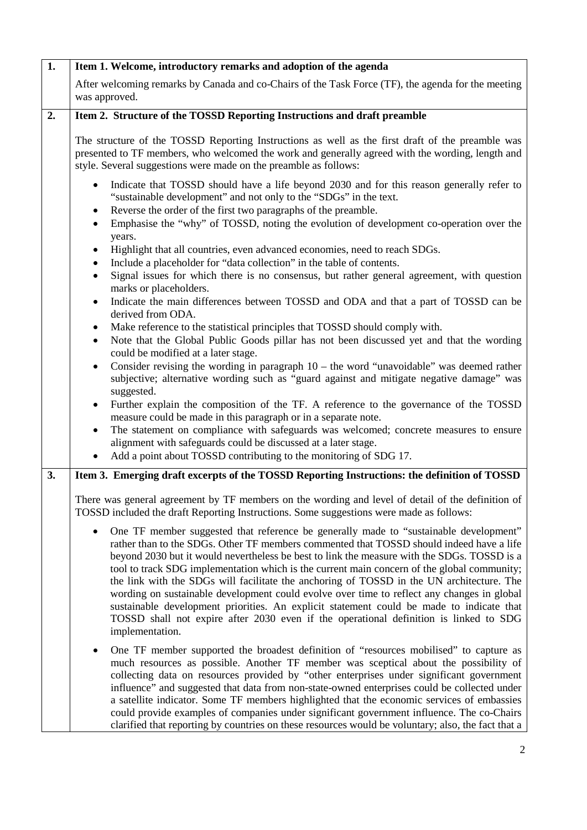| 1. | Item 1. Welcome, introductory remarks and adoption of the agenda                                                                                                                                                                                                                                                                                                                                                                                                                                                                                                                                                                                                                                                                                                                   |
|----|------------------------------------------------------------------------------------------------------------------------------------------------------------------------------------------------------------------------------------------------------------------------------------------------------------------------------------------------------------------------------------------------------------------------------------------------------------------------------------------------------------------------------------------------------------------------------------------------------------------------------------------------------------------------------------------------------------------------------------------------------------------------------------|
|    | After welcoming remarks by Canada and co-Chairs of the Task Force (TF), the agenda for the meeting<br>was approved.                                                                                                                                                                                                                                                                                                                                                                                                                                                                                                                                                                                                                                                                |
| 2. | Item 2. Structure of the TOSSD Reporting Instructions and draft preamble                                                                                                                                                                                                                                                                                                                                                                                                                                                                                                                                                                                                                                                                                                           |
|    | The structure of the TOSSD Reporting Instructions as well as the first draft of the preamble was<br>presented to TF members, who welcomed the work and generally agreed with the wording, length and<br>style. Several suggestions were made on the preamble as follows:                                                                                                                                                                                                                                                                                                                                                                                                                                                                                                           |
|    | Indicate that TOSSD should have a life beyond 2030 and for this reason generally refer to<br>"sustainable development" and not only to the "SDGs" in the text.<br>Reverse the order of the first two paragraphs of the preamble.<br>٠<br>Emphasise the "why" of TOSSD, noting the evolution of development co-operation over the                                                                                                                                                                                                                                                                                                                                                                                                                                                   |
|    | years.<br>Highlight that all countries, even advanced economies, need to reach SDGs.<br>Include a placeholder for "data collection" in the table of contents.<br>Signal issues for which there is no consensus, but rather general agreement, with question<br>marks or placeholders.                                                                                                                                                                                                                                                                                                                                                                                                                                                                                              |
|    | Indicate the main differences between TOSSD and ODA and that a part of TOSSD can be<br>$\bullet$<br>derived from ODA.                                                                                                                                                                                                                                                                                                                                                                                                                                                                                                                                                                                                                                                              |
|    | Make reference to the statistical principles that TOSSD should comply with.<br>Note that the Global Public Goods pillar has not been discussed yet and that the wording<br>$\bullet$<br>could be modified at a later stage.                                                                                                                                                                                                                                                                                                                                                                                                                                                                                                                                                        |
|    | Consider revising the wording in paragraph $10$ – the word "unavoidable" was deemed rather<br>$\bullet$<br>subjective; alternative wording such as "guard against and mitigate negative damage" was<br>suggested.                                                                                                                                                                                                                                                                                                                                                                                                                                                                                                                                                                  |
|    | Further explain the composition of the TF. A reference to the governance of the TOSSD<br>measure could be made in this paragraph or in a separate note.                                                                                                                                                                                                                                                                                                                                                                                                                                                                                                                                                                                                                            |
|    | The statement on compliance with safeguards was welcomed; concrete measures to ensure<br>alignment with safeguards could be discussed at a later stage.<br>Add a point about TOSSD contributing to the monitoring of SDG 17.                                                                                                                                                                                                                                                                                                                                                                                                                                                                                                                                                       |
| 3. | Item 3. Emerging draft excerpts of the TOSSD Reporting Instructions: the definition of TOSSD                                                                                                                                                                                                                                                                                                                                                                                                                                                                                                                                                                                                                                                                                       |
|    | There was general agreement by TF members on the wording and level of detail of the definition of<br>TOSSD included the draft Reporting Instructions. Some suggestions were made as follows:                                                                                                                                                                                                                                                                                                                                                                                                                                                                                                                                                                                       |
|    | One TF member suggested that reference be generally made to "sustainable development"<br>rather than to the SDGs. Other TF members commented that TOSSD should indeed have a life<br>beyond 2030 but it would nevertheless be best to link the measure with the SDGs. TOSSD is a<br>tool to track SDG implementation which is the current main concern of the global community;<br>the link with the SDGs will facilitate the anchoring of TOSSD in the UN architecture. The<br>wording on sustainable development could evolve over time to reflect any changes in global<br>sustainable development priorities. An explicit statement could be made to indicate that<br>TOSSD shall not expire after 2030 even if the operational definition is linked to SDG<br>implementation. |
|    | One TF member supported the broadest definition of "resources mobilised" to capture as<br>$\bullet$<br>much resources as possible. Another TF member was sceptical about the possibility of<br>collecting data on resources provided by "other enterprises under significant government<br>influence" and suggested that data from non-state-owned enterprises could be collected under<br>a satellite indicator. Some TF members highlighted that the economic services of embassies<br>could provide examples of companies under significant government influence. The co-Chairs<br>clarified that reporting by countries on these resources would be voluntary; also, the fact that a                                                                                           |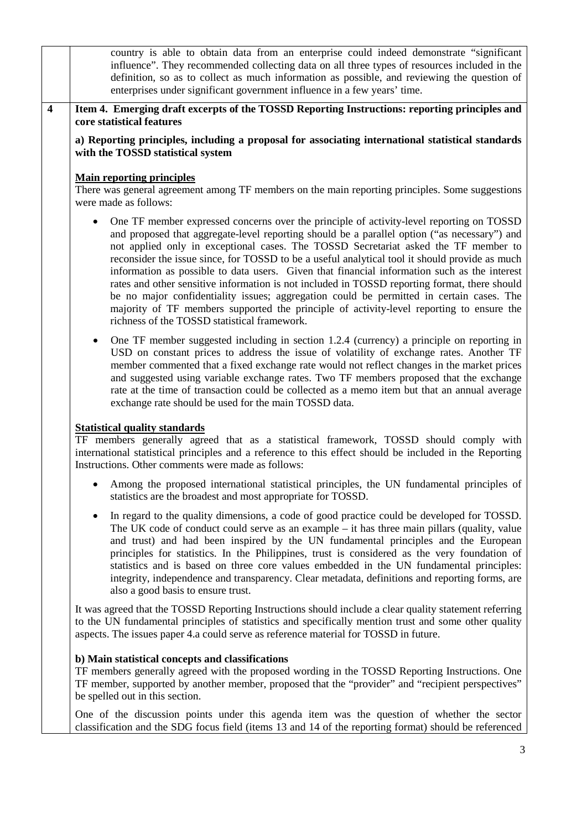country is able to obtain data from an enterprise could indeed demonstrate "significant influence". They recommended collecting data on all three types of resources included in the definition, so as to collect as much information as possible, and reviewing the question of enterprises under significant government influence in a few years' time. **4 Item 4. Emerging draft excerpts of the TOSSD Reporting Instructions: reporting principles and core statistical features**

**a) Reporting principles, including a proposal for associating international statistical standards with the TOSSD statistical system** 

## **Main reporting principles**

There was general agreement among TF members on the main reporting principles. Some suggestions were made as follows:

- One TF member expressed concerns over the principle of activity-level reporting on TOSSD and proposed that aggregate-level reporting should be a parallel option ("as necessary") and not applied only in exceptional cases. The TOSSD Secretariat asked the TF member to reconsider the issue since, for TOSSD to be a useful analytical tool it should provide as much information as possible to data users. Given that financial information such as the interest rates and other sensitive information is not included in TOSSD reporting format, there should be no major confidentiality issues; aggregation could be permitted in certain cases. The majority of TF members supported the principle of activity-level reporting to ensure the richness of the TOSSD statistical framework.
- One TF member suggested including in section 1.2.4 (currency) a principle on reporting in USD on constant prices to address the issue of volatility of exchange rates. Another TF member commented that a fixed exchange rate would not reflect changes in the market prices and suggested using variable exchange rates. Two TF members proposed that the exchange rate at the time of transaction could be collected as a memo item but that an annual average exchange rate should be used for the main TOSSD data.

### **Statistical quality standards**

TF members generally agreed that as a statistical framework, TOSSD should comply with international statistical principles and a reference to this effect should be included in the Reporting Instructions. Other comments were made as follows:

- Among the proposed international statistical principles, the UN fundamental principles of statistics are the broadest and most appropriate for TOSSD.
- In regard to the quality dimensions, a code of good practice could be developed for TOSSD. The UK code of conduct could serve as an example – it has three main pillars (quality, value and trust) and had been inspired by the UN fundamental principles and the European principles for statistics. In the Philippines, trust is considered as the very foundation of statistics and is based on three core values embedded in the UN fundamental principles: integrity, independence and transparency. Clear metadata, definitions and reporting forms, are also a good basis to ensure trust.

It was agreed that the TOSSD Reporting Instructions should include a clear quality statement referring to the UN fundamental principles of statistics and specifically mention trust and some other quality aspects. The issues paper 4.a could serve as reference material for TOSSD in future.

### **b) Main statistical concepts and classifications**

TF members generally agreed with the proposed wording in the TOSSD Reporting Instructions. One TF member, supported by another member, proposed that the "provider" and "recipient perspectives" be spelled out in this section.

One of the discussion points under this agenda item was the question of whether the sector classification and the SDG focus field (items 13 and 14 of the reporting format) should be referenced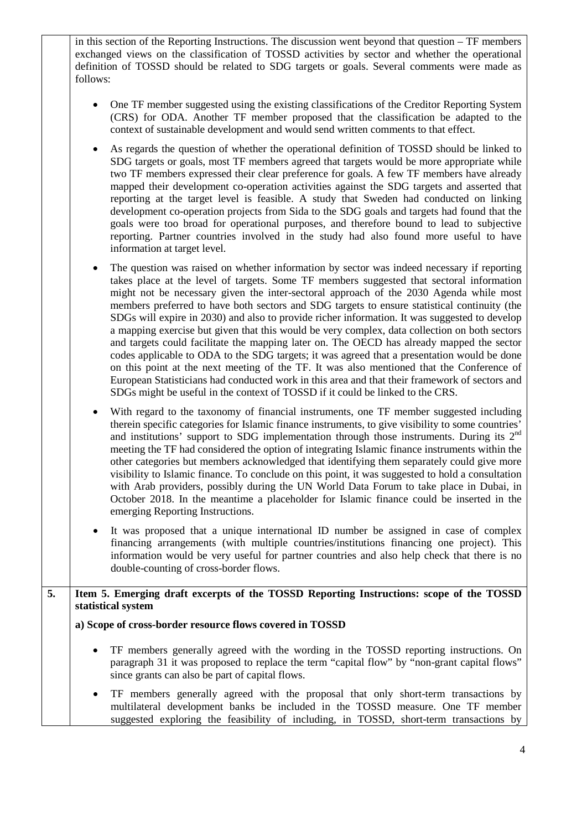in this section of the Reporting Instructions. The discussion went beyond that question – TF members exchanged views on the classification of TOSSD activities by sector and whether the operational definition of TOSSD should be related to SDG targets or goals. Several comments were made as follows: • One TF member suggested using the existing classifications of the Creditor Reporting System

- (CRS) for ODA. Another TF member proposed that the classification be adapted to the context of sustainable development and would send written comments to that effect.
- As regards the question of whether the operational definition of TOSSD should be linked to SDG targets or goals, most TF members agreed that targets would be more appropriate while two TF members expressed their clear preference for goals. A few TF members have already mapped their development co-operation activities against the SDG targets and asserted that reporting at the target level is feasible. A study that Sweden had conducted on linking development co-operation projects from Sida to the SDG goals and targets had found that the goals were too broad for operational purposes, and therefore bound to lead to subjective reporting. Partner countries involved in the study had also found more useful to have information at target level.
- The question was raised on whether information by sector was indeed necessary if reporting takes place at the level of targets. Some TF members suggested that sectoral information might not be necessary given the inter-sectoral approach of the 2030 Agenda while most members preferred to have both sectors and SDG targets to ensure statistical continuity (the SDGs will expire in 2030) and also to provide richer information. It was suggested to develop a mapping exercise but given that this would be very complex, data collection on both sectors and targets could facilitate the mapping later on. The OECD has already mapped the sector codes applicable to ODA to the SDG targets; it was agreed that a presentation would be done on this point at the next meeting of the TF. It was also mentioned that the Conference of European Statisticians had conducted work in this area and that their framework of sectors and SDGs might be useful in the context of TOSSD if it could be linked to the CRS.
- With regard to the taxonomy of financial instruments, one TF member suggested including therein specific categories for Islamic finance instruments, to give visibility to some countries' and institutions' support to SDG implementation through those instruments. During its 2nd meeting the TF had considered the option of integrating Islamic finance instruments within the other categories but members acknowledged that identifying them separately could give more visibility to Islamic finance. To conclude on this point, it was suggested to hold a consultation with Arab providers, possibly during the UN World Data Forum to take place in Dubai, in October 2018. In the meantime a placeholder for Islamic finance could be inserted in the emerging Reporting Instructions.
- It was proposed that a unique international ID number be assigned in case of complex financing arrangements (with multiple countries/institutions financing one project). This information would be very useful for partner countries and also help check that there is no double-counting of cross-border flows.

# **5. Item 5. Emerging draft excerpts of the TOSSD Reporting Instructions: scope of the TOSSD statistical system**

**a) Scope of cross-border resource flows covered in TOSSD** 

- TF members generally agreed with the wording in the TOSSD reporting instructions. On paragraph 31 it was proposed to replace the term "capital flow" by "non-grant capital flows" since grants can also be part of capital flows.
- TF members generally agreed with the proposal that only short-term transactions by multilateral development banks be included in the TOSSD measure. One TF member suggested exploring the feasibility of including, in TOSSD, short-term transactions by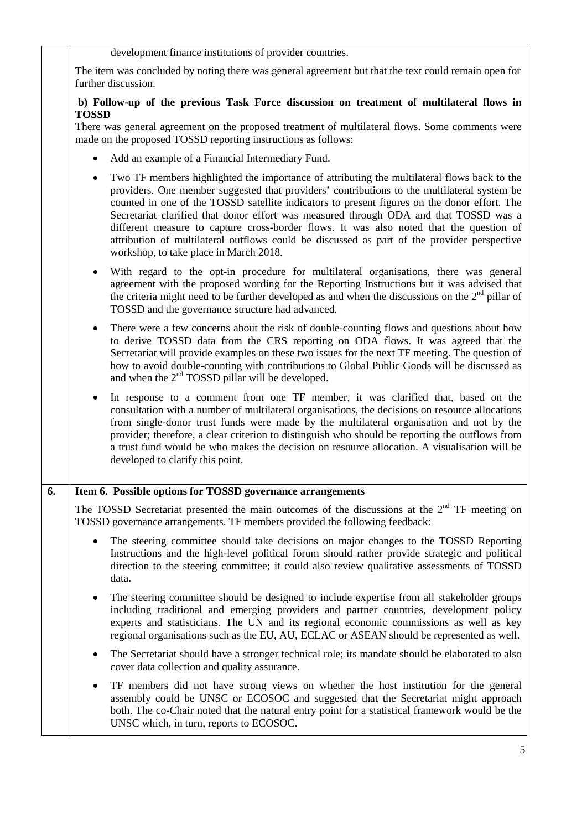|                     | development finance institutions of provider countries.                                                                                                                                                                                                                                                                                                                                                                                                                                                                                                                                                                 |
|---------------------|-------------------------------------------------------------------------------------------------------------------------------------------------------------------------------------------------------------------------------------------------------------------------------------------------------------------------------------------------------------------------------------------------------------------------------------------------------------------------------------------------------------------------------------------------------------------------------------------------------------------------|
| further discussion. | The item was concluded by noting there was general agreement but that the text could remain open for                                                                                                                                                                                                                                                                                                                                                                                                                                                                                                                    |
| <b>TOSSD</b>        | b) Follow-up of the previous Task Force discussion on treatment of multilateral flows in                                                                                                                                                                                                                                                                                                                                                                                                                                                                                                                                |
|                     | There was general agreement on the proposed treatment of multilateral flows. Some comments were<br>made on the proposed TOSSD reporting instructions as follows:                                                                                                                                                                                                                                                                                                                                                                                                                                                        |
| $\bullet$           | Add an example of a Financial Intermediary Fund.                                                                                                                                                                                                                                                                                                                                                                                                                                                                                                                                                                        |
| $\bullet$           | Two TF members highlighted the importance of attributing the multilateral flows back to the<br>providers. One member suggested that providers' contributions to the multilateral system be<br>counted in one of the TOSSD satellite indicators to present figures on the donor effort. The<br>Secretariat clarified that donor effort was measured through ODA and that TOSSD was a<br>different measure to capture cross-border flows. It was also noted that the question of<br>attribution of multilateral outflows could be discussed as part of the provider perspective<br>workshop, to take place in March 2018. |
| $\bullet$           | With regard to the opt-in procedure for multilateral organisations, there was general<br>agreement with the proposed wording for the Reporting Instructions but it was advised that<br>the criteria might need to be further developed as and when the discussions on the $2nd$ pillar of<br>TOSSD and the governance structure had advanced.                                                                                                                                                                                                                                                                           |
| $\bullet$           | There were a few concerns about the risk of double-counting flows and questions about how<br>to derive TOSSD data from the CRS reporting on ODA flows. It was agreed that the<br>Secretariat will provide examples on these two issues for the next TF meeting. The question of<br>how to avoid double-counting with contributions to Global Public Goods will be discussed as<br>and when the 2 <sup>nd</sup> TOSSD pillar will be developed.                                                                                                                                                                          |
| $\bullet$           | In response to a comment from one TF member, it was clarified that, based on the<br>consultation with a number of multilateral organisations, the decisions on resource allocations<br>from single-donor trust funds were made by the multilateral organisation and not by the<br>provider; therefore, a clear criterion to distinguish who should be reporting the outflows from<br>a trust fund would be who makes the decision on resource allocation. A visualisation will be<br>developed to clarify this point.                                                                                                   |
|                     | Item 6. Possible options for TOSSD governance arrangements                                                                                                                                                                                                                                                                                                                                                                                                                                                                                                                                                              |
|                     | The TOSSD Secretariat presented the main outcomes of the discussions at the $2nd TF$ meeting on<br>TOSSD governance arrangements. TF members provided the following feedback:                                                                                                                                                                                                                                                                                                                                                                                                                                           |
| data.               | The steering committee should take decisions on major changes to the TOSSD Reporting<br>Instructions and the high-level political forum should rather provide strategic and political<br>direction to the steering committee; it could also review qualitative assessments of TOSSD                                                                                                                                                                                                                                                                                                                                     |
| $\bullet$           | The steering committee should be designed to include expertise from all stakeholder groups<br>including traditional and emerging providers and partner countries, development policy<br>experts and statisticians. The UN and its regional economic commissions as well as key<br>regional organisations such as the EU, AU, ECLAC or ASEAN should be represented as well.                                                                                                                                                                                                                                              |
| $\bullet$           | The Secretariat should have a stronger technical role; its mandate should be elaborated to also<br>cover data collection and quality assurance.                                                                                                                                                                                                                                                                                                                                                                                                                                                                         |
| $\bullet$           | TF members did not have strong views on whether the host institution for the general<br>assembly could be UNSC or ECOSOC and suggested that the Secretariat might approach<br>both. The co-Chair noted that the natural entry point for a statistical framework would be the<br>UNSC which, in turn, reports to ECOSOC.                                                                                                                                                                                                                                                                                                 |
|                     |                                                                                                                                                                                                                                                                                                                                                                                                                                                                                                                                                                                                                         |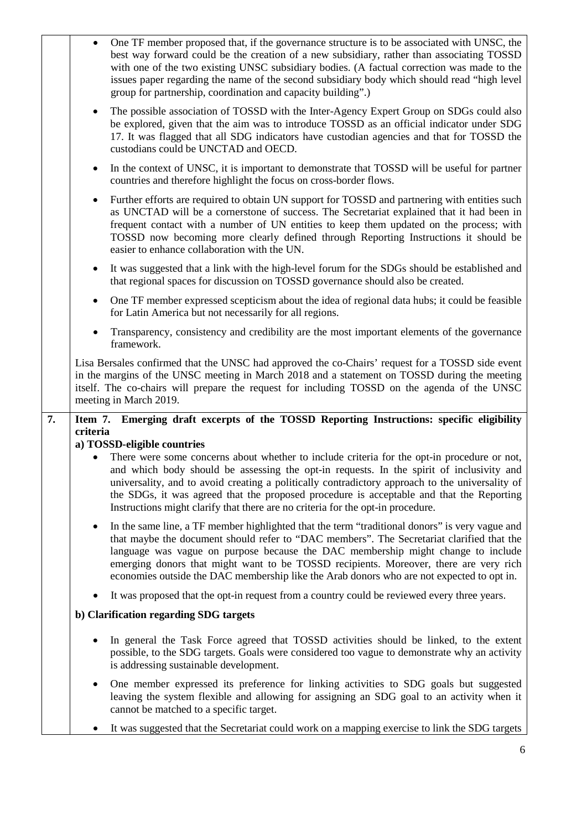|    | One TF member proposed that, if the governance structure is to be associated with UNSC, the<br>best way forward could be the creation of a new subsidiary, rather than associating TOSSD<br>with one of the two existing UNSC subsidiary bodies. (A factual correction was made to the<br>issues paper regarding the name of the second subsidiary body which should read "high level<br>group for partnership, coordination and capacity building".)                      |
|----|----------------------------------------------------------------------------------------------------------------------------------------------------------------------------------------------------------------------------------------------------------------------------------------------------------------------------------------------------------------------------------------------------------------------------------------------------------------------------|
|    | The possible association of TOSSD with the Inter-Agency Expert Group on SDGs could also<br>$\bullet$<br>be explored, given that the aim was to introduce TOSSD as an official indicator under SDG<br>17. It was flagged that all SDG indicators have custodian agencies and that for TOSSD the<br>custodians could be UNCTAD and OECD.                                                                                                                                     |
|    | In the context of UNSC, it is important to demonstrate that TOSSD will be useful for partner<br>$\bullet$<br>countries and therefore highlight the focus on cross-border flows.                                                                                                                                                                                                                                                                                            |
|    | Further efforts are required to obtain UN support for TOSSD and partnering with entities such<br>$\bullet$<br>as UNCTAD will be a cornerstone of success. The Secretariat explained that it had been in<br>frequent contact with a number of UN entities to keep them updated on the process; with<br>TOSSD now becoming more clearly defined through Reporting Instructions it should be<br>easier to enhance collaboration with the UN.                                  |
|    | It was suggested that a link with the high-level forum for the SDGs should be established and<br>$\bullet$<br>that regional spaces for discussion on TOSSD governance should also be created.                                                                                                                                                                                                                                                                              |
|    | One TF member expressed scepticism about the idea of regional data hubs; it could be feasible<br>$\bullet$<br>for Latin America but not necessarily for all regions.                                                                                                                                                                                                                                                                                                       |
|    | Transparency, consistency and credibility are the most important elements of the governance<br>$\bullet$<br>framework.                                                                                                                                                                                                                                                                                                                                                     |
|    | Lisa Bersales confirmed that the UNSC had approved the co-Chairs' request for a TOSSD side event<br>in the margins of the UNSC meeting in March 2018 and a statement on TOSSD during the meeting<br>itself. The co-chairs will prepare the request for including TOSSD on the agenda of the UNSC<br>meeting in March 2019.                                                                                                                                                 |
| 7. | Item 7. Emerging draft excerpts of the TOSSD Reporting Instructions: specific eligibility<br>criteria                                                                                                                                                                                                                                                                                                                                                                      |
|    | a) TOSSD-eligible countries                                                                                                                                                                                                                                                                                                                                                                                                                                                |
|    | There were some concerns about whether to include criteria for the opt-in procedure or not,                                                                                                                                                                                                                                                                                                                                                                                |
|    | and which body should be assessing the opt-in requests. In the spirit of inclusivity and<br>universality, and to avoid creating a politically contradictory approach to the universality of<br>the SDGs, it was agreed that the proposed procedure is acceptable and that the Reporting<br>Instructions might clarify that there are no criteria for the opt-in procedure.                                                                                                 |
|    | In the same line, a TF member highlighted that the term "traditional donors" is very vague and<br>٠<br>that maybe the document should refer to "DAC members". The Secretariat clarified that the<br>language was vague on purpose because the DAC membership might change to include<br>emerging donors that might want to be TOSSD recipients. Moreover, there are very rich<br>economies outside the DAC membership like the Arab donors who are not expected to opt in. |
|    | It was proposed that the opt-in request from a country could be reviewed every three years.                                                                                                                                                                                                                                                                                                                                                                                |
|    | b) Clarification regarding SDG targets                                                                                                                                                                                                                                                                                                                                                                                                                                     |
|    | In general the Task Force agreed that TOSSD activities should be linked, to the extent<br>possible, to the SDG targets. Goals were considered too vague to demonstrate why an activity<br>is addressing sustainable development.                                                                                                                                                                                                                                           |
|    | One member expressed its preference for linking activities to SDG goals but suggested<br>$\bullet$<br>leaving the system flexible and allowing for assigning an SDG goal to an activity when it<br>cannot be matched to a specific target.                                                                                                                                                                                                                                 |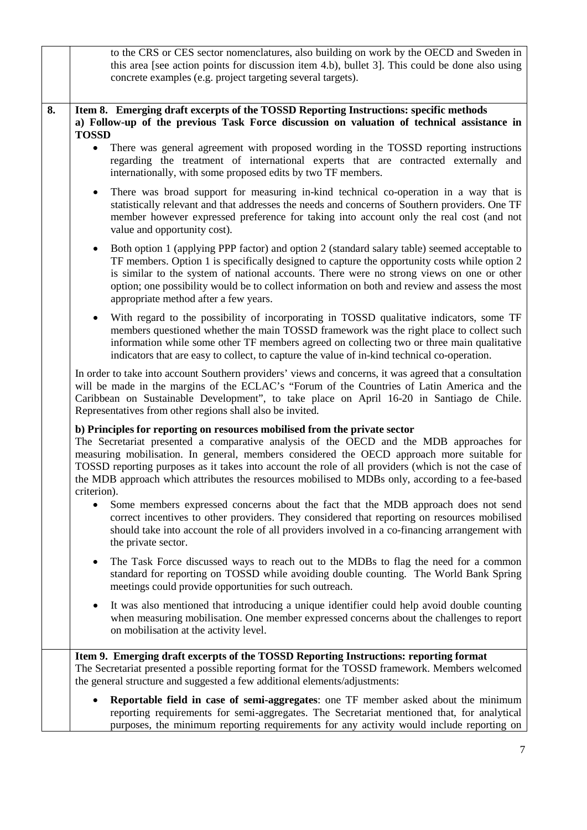|    | to the CRS or CES sector nomenclatures, also building on work by the OECD and Sweden in<br>this area [see action points for discussion item 4.b), bullet 3]. This could be done also using<br>concrete examples (e.g. project targeting several targets).                                                                                                                                                                                                                                       |
|----|-------------------------------------------------------------------------------------------------------------------------------------------------------------------------------------------------------------------------------------------------------------------------------------------------------------------------------------------------------------------------------------------------------------------------------------------------------------------------------------------------|
| 8. | Item 8. Emerging draft excerpts of the TOSSD Reporting Instructions: specific methods<br>a) Follow-up of the previous Task Force discussion on valuation of technical assistance in<br><b>TOSSD</b>                                                                                                                                                                                                                                                                                             |
|    | There was general agreement with proposed wording in the TOSSD reporting instructions<br>$\bullet$<br>regarding the treatment of international experts that are contracted externally and<br>internationally, with some proposed edits by two TF members.                                                                                                                                                                                                                                       |
|    | There was broad support for measuring in-kind technical co-operation in a way that is<br>$\bullet$<br>statistically relevant and that addresses the needs and concerns of Southern providers. One TF<br>member however expressed preference for taking into account only the real cost (and not<br>value and opportunity cost).                                                                                                                                                                 |
|    | Both option 1 (applying PPP factor) and option 2 (standard salary table) seemed acceptable to<br>$\bullet$<br>TF members. Option 1 is specifically designed to capture the opportunity costs while option 2<br>is similar to the system of national accounts. There were no strong views on one or other<br>option; one possibility would be to collect information on both and review and assess the most<br>appropriate method after a few years.                                             |
|    | With regard to the possibility of incorporating in TOSSD qualitative indicators, some TF<br>members questioned whether the main TOSSD framework was the right place to collect such<br>information while some other TF members agreed on collecting two or three main qualitative<br>indicators that are easy to collect, to capture the value of in-kind technical co-operation.                                                                                                               |
|    | In order to take into account Southern providers' views and concerns, it was agreed that a consultation<br>will be made in the margins of the ECLAC's "Forum of the Countries of Latin America and the<br>Caribbean on Sustainable Development", to take place on April 16-20 in Santiago de Chile.<br>Representatives from other regions shall also be invited.                                                                                                                                |
|    | b) Principles for reporting on resources mobilised from the private sector<br>The Secretariat presented a comparative analysis of the OECD and the MDB approaches for<br>measuring mobilisation. In general, members considered the OECD approach more suitable for<br>TOSSD reporting purposes as it takes into account the role of all providers (which is not the case of<br>the MDB approach which attributes the resources mobilised to MDBs only, according to a fee-based<br>criterion). |
|    | Some members expressed concerns about the fact that the MDB approach does not send<br>correct incentives to other providers. They considered that reporting on resources mobilised<br>should take into account the role of all providers involved in a co-financing arrangement with<br>the private sector.                                                                                                                                                                                     |
|    | The Task Force discussed ways to reach out to the MDBs to flag the need for a common<br>٠<br>standard for reporting on TOSSD while avoiding double counting. The World Bank Spring<br>meetings could provide opportunities for such outreach.                                                                                                                                                                                                                                                   |
|    | It was also mentioned that introducing a unique identifier could help avoid double counting<br>when measuring mobilisation. One member expressed concerns about the challenges to report<br>on mobilisation at the activity level.                                                                                                                                                                                                                                                              |
|    | Item 9. Emerging draft excerpts of the TOSSD Reporting Instructions: reporting format<br>The Secretariat presented a possible reporting format for the TOSSD framework. Members welcomed<br>the general structure and suggested a few additional elements/adjustments:                                                                                                                                                                                                                          |
|    | Reportable field in case of semi-aggregates: one TF member asked about the minimum<br>reporting requirements for semi-aggregates. The Secretariat mentioned that, for analytical<br>purposes, the minimum reporting requirements for any activity would include reporting on                                                                                                                                                                                                                    |